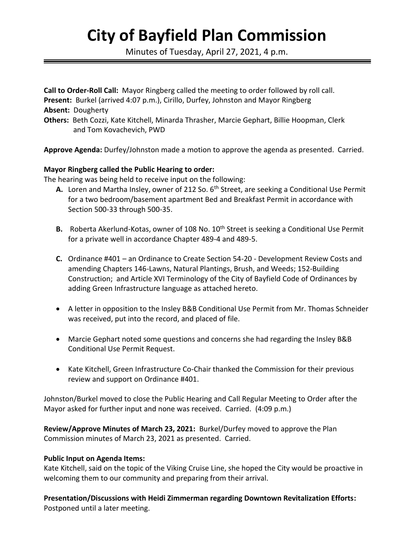# **City of Bayfield Plan Commission**

Minutes of Tuesday, April 27, 2021, 4 p.m.

**Call to Order-Roll Call:** Mayor Ringberg called the meeting to order followed by roll call. **Present:** Burkel (arrived 4:07 p.m.), Cirillo, Durfey, Johnston and Mayor Ringberg **Absent:** Dougherty **Others:** Beth Cozzi, Kate Kitchell, Minarda Thrasher, Marcie Gephart, Billie Hoopman, Clerk and Tom Kovachevich, PWD

**Approve Agenda:** Durfey/Johnston made a motion to approve the agenda as presented. Carried.

## **Mayor Ringberg called the Public Hearing to order:**

The hearing was being held to receive input on the following:

- A. Loren and Martha Insley, owner of 212 So. 6<sup>th</sup> Street, are seeking a Conditional Use Permit for a two bedroom/basement apartment Bed and Breakfast Permit in accordance with Section 500-33 through 500-35.
- **B.** Roberta Akerlund-Kotas, owner of 108 No. 10<sup>th</sup> Street is seeking a Conditional Use Permit for a private well in accordance Chapter 489-4 and 489-5.
- **C.** Ordinance #401 an Ordinance to Create Section 54-20 Development Review Costs and amending Chapters 146-Lawns, Natural Plantings, Brush, and Weeds; 152-Building Construction; and Article XVI Terminology of the City of Bayfield Code of Ordinances by adding Green Infrastructure language as attached hereto.
- A letter in opposition to the Insley B&B Conditional Use Permit from Mr. Thomas Schneider was received, put into the record, and placed of file.
- Marcie Gephart noted some questions and concerns she had regarding the Insley B&B Conditional Use Permit Request.
- Kate Kitchell, Green Infrastructure Co-Chair thanked the Commission for their previous review and support on Ordinance #401.

Johnston/Burkel moved to close the Public Hearing and Call Regular Meeting to Order after the Mayor asked for further input and none was received. Carried. (4:09 p.m.)

**Review/Approve Minutes of March 23, 2021:** Burkel/Durfey moved to approve the Plan Commission minutes of March 23, 2021 as presented. Carried.

## **Public Input on Agenda Items:**

Kate Kitchell, said on the topic of the Viking Cruise Line, she hoped the City would be proactive in welcoming them to our community and preparing from their arrival.

**Presentation/Discussions with Heidi Zimmerman regarding Downtown Revitalization Efforts:**  Postponed until a later meeting.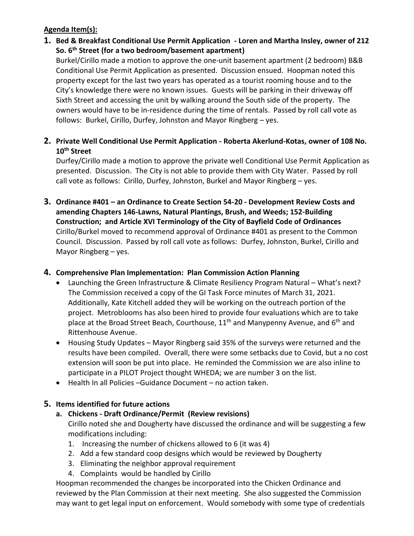## **Agenda Item(s):**

- **1. Bed & Breakfast Conditional Use Permit Application - Loren and Martha Insley, owner of 212 So. 6th Street (for a two bedroom/basement apartment)** Burkel/Cirillo made a motion to approve the one-unit basement apartment (2 bedroom) B&B Conditional Use Permit Application as presented. Discussion ensued. Hoopman noted this property except for the last two years has operated as a tourist rooming house and to the City's knowledge there were no known issues. Guests will be parking in their driveway off Sixth Street and accessing the unit by walking around the South side of the property. The owners would have to be in-residence during the time of rentals. Passed by roll call vote as follows: Burkel, Cirillo, Durfey, Johnston and Mayor Ringberg – yes.
- **2. Private Well Conditional Use Permit Application - Roberta Akerlund-Kotas, owner of 108 No. 10th Street**

Durfey/Cirillo made a motion to approve the private well Conditional Use Permit Application as presented. Discussion. The City is not able to provide them with City Water. Passed by roll call vote as follows: Cirillo, Durfey, Johnston, Burkel and Mayor Ringberg – yes.

**3. Ordinance #401 – an Ordinance to Create Section 54-20 - Development Review Costs and amending Chapters 146-Lawns, Natural Plantings, Brush, and Weeds; 152-Building Construction; and Article XVI Terminology of the City of Bayfield Code of Ordinances**  Cirillo/Burkel moved to recommend approval of Ordinance #401 as present to the Common Council. Discussion. Passed by roll call vote as follows: Durfey, Johnston, Burkel, Cirillo and Mayor Ringberg – yes.

## **4. Comprehensive Plan Implementation: Plan Commission Action Planning**

- Launching the Green Infrastructure & Climate Resiliency Program Natural What's next? The Commission received a copy of the GI Task Force minutes of March 31, 2021. Additionally, Kate Kitchell added they will be working on the outreach portion of the project. Metroblooms has also been hired to provide four evaluations which are to take place at the Broad Street Beach, Courthouse, 11<sup>th</sup> and Manypenny Avenue, and 6<sup>th</sup> and Rittenhouse Avenue.
- Housing Study Updates Mayor Ringberg said 35% of the surveys were returned and the results have been compiled. Overall, there were some setbacks due to Covid, but a no cost extension will soon be put into place. He reminded the Commission we are also inline to participate in a PILOT Project thought WHEDA; we are number 3 on the list.
- Health In all Policies –Guidance Document no action taken.

# **5. Items identified for future actions**

## **a. Chickens - Draft Ordinance/Permit (Review revisions)**

Cirillo noted she and Dougherty have discussed the ordinance and will be suggesting a few modifications including:

- 1. Increasing the number of chickens allowed to 6 (it was 4)
- 2. Add a few standard coop designs which would be reviewed by Dougherty
- 3. Eliminating the neighbor approval requirement
- 4. Complaints would be handled by Cirillo

Hoopman recommended the changes be incorporated into the Chicken Ordinance and reviewed by the Plan Commission at their next meeting. She also suggested the Commission may want to get legal input on enforcement. Would somebody with some type of credentials